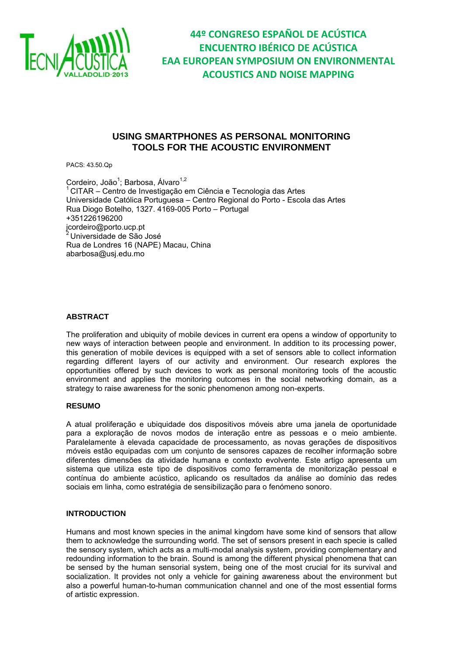

### **USING SMARTPHONES AS PERSONAL MONITORING TOOLS FOR THE ACOUSTIC ENVIRONMENT**

PACS: 43.50.Qp

Cordeiro, João<sup>1</sup>; Barbosa, Álvaro<sup>1,2</sup> <sup>1</sup>CITAR – Centro de Investigação em Ciência e Tecnologia das Artes Universidade Católica Portuguesa – Centro Regional do Porto - Escola das Artes Rua Diogo Botelho, 1327. 4169-005 Porto – Portugal +351226196200 jcordeiro@porto.ucp.pt  $2$ Universidade de São José Rua de Londres 16 (NAPE) Macau, China abarbosa@usj.edu.mo

#### **ABSTRACT**

The proliferation and ubiquity of mobile devices in current era opens a window of opportunity to new ways of interaction between people and environment. In addition to its processing power, this generation of mobile devices is equipped with a set of sensors able to collect information regarding different layers of our activity and environment. Our research explores the opportunities offered by such devices to work as personal monitoring tools of the acoustic environment and applies the monitoring outcomes in the social networking domain, as a strategy to raise awareness for the sonic phenomenon among non-experts.

#### **RESUMO**

A atual proliferação e ubiquidade dos dispositivos móveis abre uma janela de oportunidade para a exploração de novos modos de interação entre as pessoas e o meio ambiente. Paralelamente à elevada capacidade de processamento, as novas gerações de dispositivos móveis estão equipadas com um conjunto de sensores capazes de recolher informação sobre diferentes dimensões da atividade humana e contexto evolvente. Este artigo apresenta um sistema que utiliza este tipo de dispositivos como ferramenta de monitorização pessoal e contínua do ambiente acústico, aplicando os resultados da análise ao domínio das redes sociais em linha, como estratégia de sensibilização para o fenómeno sonoro.

#### **INTRODUCTION**

Humans and most known species in the animal kingdom have some kind of sensors that allow them to acknowledge the surrounding world. The set of sensors present in each specie is called the sensory system, which acts as a multi-modal analysis system, providing complementary and redounding information to the brain. Sound is among the different physical phenomena that can be sensed by the human sensorial system, being one of the most crucial for its survival and socialization. It provides not only a vehicle for gaining awareness about the environment but also a powerful human-to-human communication channel and one of the most essential forms of artistic expression.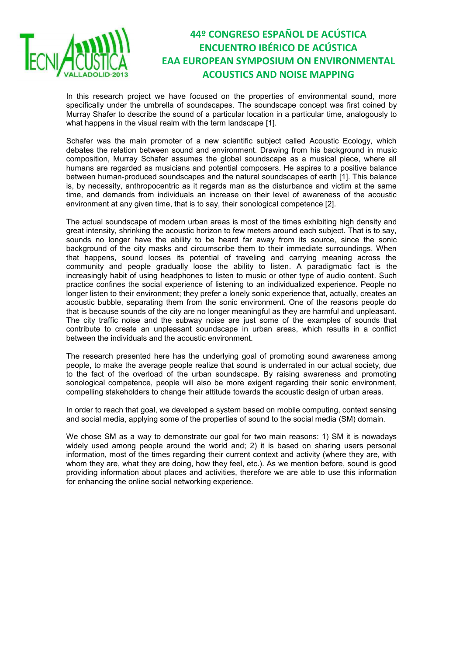

In this research project we have focused on the properties of environmental sound, more specifically under the umbrella of soundscapes. The soundscape concept was first coined by Murray Shafer to describe the sound of a particular location in a particular time, analogously to what happens in the visual realm with the term landscape [1].

Schafer was the main promoter of a new scientific subject called Acoustic Ecology, which debates the relation between sound and environment. Drawing from his background in music composition, Murray Schafer assumes the global soundscape as a musical piece, where all humans are regarded as musicians and potential composers. He aspires to a positive balance between human-produced soundscapes and the natural soundscapes of earth [1]. This balance is, by necessity, anthropocentric as it regards man as the disturbance and victim at the same time, and demands from individuals an increase on their level of awareness of the acoustic environment at any given time, that is to say, their sonological competence [2].

The actual soundscape of modern urban areas is most of the times exhibiting high density and great intensity, shrinking the acoustic horizon to few meters around each subject. That is to say, sounds no longer have the ability to be heard far away from its source, since the sonic background of the city masks and circumscribe them to their immediate surroundings. When that happens, sound looses its potential of traveling and carrying meaning across the community and people gradually loose the ability to listen. A paradigmatic fact is the increasingly habit of using headphones to listen to music or other type of audio content. Such practice confines the social experience of listening to an individualized experience. People no longer listen to their environment; they prefer a lonely sonic experience that, actually, creates an acoustic bubble, separating them from the sonic environment. One of the reasons people do that is because sounds of the city are no longer meaningful as they are harmful and unpleasant. The city traffic noise and the subway noise are just some of the examples of sounds that contribute to create an unpleasant soundscape in urban areas, which results in a conflict between the individuals and the acoustic environment.

The research presented here has the underlying goal of promoting sound awareness among people, to make the average people realize that sound is underrated in our actual society, due to the fact of the overload of the urban soundscape. By raising awareness and promoting sonological competence, people will also be more exigent regarding their sonic environment, compelling stakeholders to change their attitude towards the acoustic design of urban areas.

In order to reach that goal, we developed a system based on mobile computing, context sensing and social media, applying some of the properties of sound to the social media (SM) domain.

We chose SM as a way to demonstrate our goal for two main reasons: 1) SM it is nowadays widely used among people around the world and; 2) it is based on sharing users personal information, most of the times regarding their current context and activity (where they are, with whom they are, what they are doing, how they feel, etc.). As we mention before, sound is good providing information about places and activities, therefore we are able to use this information for enhancing the online social networking experience.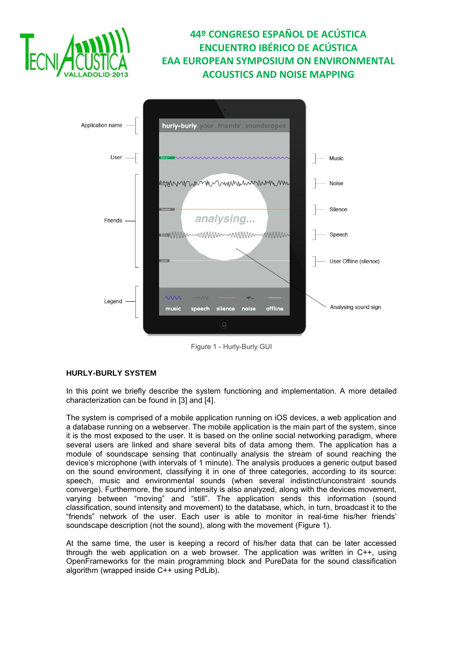



Figure 1 - Hurly-Burly GUI

### <span id="page-2-0"></span>**HURLY-BURLY SYSTEM**

In this point we briefly describe the system functioning and implementation. A more detailed characterization can be found in [3] and [4].

The system is comprised of a mobile application running on iOS devices, a web application and a database running on a webserver. The mobile application is the main part of the system, since it is the most exposed to the user. It is based on the online social networking paradigm, where several users are linked and share several bits of data among them. The application has a module of soundscape sensing that continually analysis the stream of sound reaching the device's microphone (with intervals of 1 minute). The analysis produces a generic output based on the sound environment, classifying it in one of three categories, according to its source: speech, music and environmental sounds (when several indistinct/unconstraint sounds converge). Furthermore, the sound intensity is also analyzed, along with the devices movement, varying between "moving" and "still". The application sends this information (sound classification, sound intensity and movement) to the database, which, in turn, broadcast it to the "friends" network of the user. Each user is able to monitor in real-time his/her friends' soundscape description (not the sound), along with the movement [\(Figure 1\)](#page-2-0).

At the same time, the user is keeping a record of his/her data that can be later accessed through the web application on a web browser. The application was written in C++, using OpenFrameworks for the main programming block and PureData for the sound classification algorithm (wrapped inside C++ using PdLib).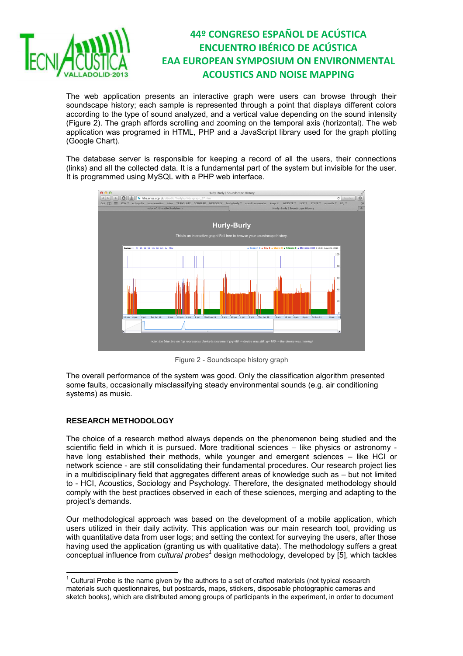

The web application presents an interactive graph were users can browse through their soundscape history; each sample is represented through a point that displays different colors according to the type of sound analyzed, and a vertical value depending on the sound intensity [\(Figure 2\)](#page-3-0). The graph affords scrolling and zooming on the temporal axis (horizontal). The web application was programed in HTML, PHP and a JavaScript library used for the graph plotting (Google Chart).

The database server is responsible for keeping a record of all the users, their connections (links) and all the collected data. It is a fundamental part of the system but invisible for the user. It is programmed using MySQL with a PHP web interface.



Figure 2 - Soundscape history graph

<span id="page-3-0"></span>The overall performance of the system was good. Only the classification algorithm presented some faults, occasionally misclassifying steady environmental sounds (e.g. air conditioning systems) as music.

### **RESEARCH METHODOLOGY**

The choice of a research method always depends on the phenomenon being studied and the scientific field in which it is pursued. More traditional sciences – like physics or astronomy have long established their methods, while younger and emergent sciences – like HCI or network science - are still consolidating their fundamental procedures. Our research project lies in a multidisciplinary field that aggregates different areas of knowledge such as – but not limited to - HCI, Acoustics, Sociology and Psychology. Therefore, the designated methodology should comply with the best practices observed in each of these sciences, merging and adapting to the project's demands.

Our methodological approach was based on the development of a mobile application, which users utilized in their daily activity. This application was our main research tool, providing us with quantitative data from user logs; and setting the context for surveying the users, after those having used the application (granting us with qualitative data). The methodology suffers a great conceptual influence from *cultural probes<sup>1</sup>* design methodology, developed by [5], which tackles

<sup>————————————————————&</sup>lt;br><sup>1</sup> Cultural Probe is the name given by the authors to a set of crafted materials (not typical research materials such questionnaires, but postcards, maps, stickers, disposable photographic cameras and sketch books), which are distributed among groups of participants in the experiment, in order to document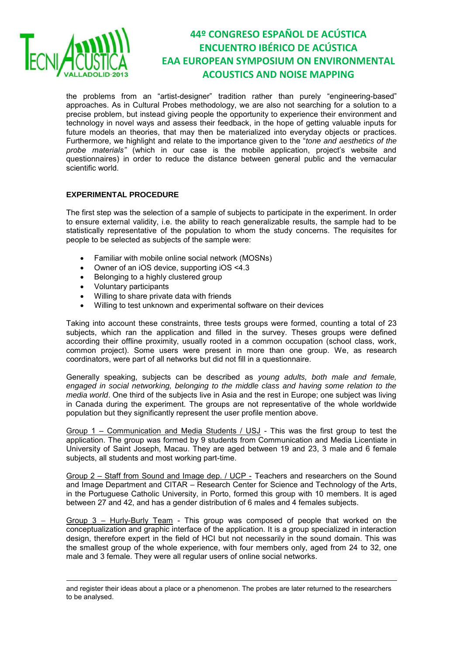

1

# **44º CONGRESO ESPAÑOL DE ACÚSTICA ENCUENTRO IBÉRICO DE ACÚSTICA EAA EUROPEAN SYMPOSIUM ON ENVIRONMENTAL ACOUSTICS AND NOISE MAPPING**

the problems from an "artist-designer" tradition rather than purely "engineering-based" approaches. As in Cultural Probes methodology, we are also not searching for a solution to a precise problem, but instead giving people the opportunity to experience their environment and technology in novel ways and assess their feedback, in the hope of getting valuable inputs for future models an theories, that may then be materialized into everyday objects or practices. Furthermore, we highlight and relate to the importance given to the "*tone and aesthetics of the probe materials"* (which in our case is the mobile application, project's website and questionnaires) in order to reduce the distance between general public and the vernacular scientific world.

#### **EXPERIMENTAL PROCEDURE**

The first step was the selection of a sample of subjects to participate in the experiment. In order to ensure external validity, i.e. the ability to reach generalizable results, the sample had to be statistically representative of the population to whom the study concerns. The requisites for people to be selected as subjects of the sample were:

- Familiar with mobile online social network (MOSNs)
- Owner of an iOS device, supporting iOS <4.3
- Belonging to a highly clustered group
- Voluntary participants
- Willing to share private data with friends
- Willing to test unknown and experimental software on their devices

Taking into account these constraints, three tests groups were formed, counting a total of 23 subjects, which ran the application and filled in the survey. Theses groups were defined according their offline proximity, usually rooted in a common occupation (school class, work, common project). Some users were present in more than one group. We, as research coordinators, were part of all networks but did not fill in a questionnaire.

Generally speaking, subjects can be described as *young adults, both male and female, engaged in social networking, belonging to the middle class and having some relation to the media world*. One third of the subjects live in Asia and the rest in Europe; one subject was living in Canada during the experiment. The groups are not representative of the whole worldwide population but they significantly represent the user profile mention above.

Group 1 – Communication and Media Students / USJ - This was the first group to test the application. The group was formed by 9 students from Communication and Media Licentiate in University of Saint Joseph, Macau. They are aged between 19 and 23, 3 male and 6 female subjects, all students and most working part-time.

Group 2 – Staff from Sound and Image dep. / UCP - Teachers and researchers on the Sound and Image Department and CITAR – Research Center for Science and Technology of the Arts, in the Portuguese Catholic University, in Porto, formed this group with 10 members. It is aged between 27 and 42, and has a gender distribution of 6 males and 4 females subjects.

Group 3 – Hurly-Burly Team - This group was composed of people that worked on the conceptualization and graphic interface of the application. It is a group specialized in interaction design, therefore expert in the field of HCI but not necessarily in the sound domain. This was the smallest group of the whole experience, with four members only, aged from 24 to 32, one male and 3 female. They were all regular users of online social networks.

and register their ideas about a place or a phenomenon. The probes are later returned to the researchers to be analysed.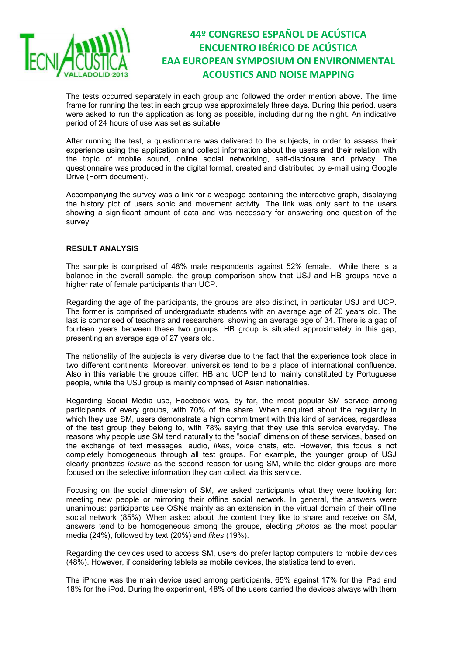

The tests occurred separately in each group and followed the order mention above. The time frame for running the test in each group was approximately three days. During this period, users were asked to run the application as long as possible, including during the night. An indicative period of 24 hours of use was set as suitable.

After running the test, a questionnaire was delivered to the subjects, in order to assess their experience using the application and collect information about the users and their relation with the topic of mobile sound, online social networking, self-disclosure and privacy. The questionnaire was produced in the digital format, created and distributed by e-mail using Google Drive (Form document).

Accompanying the survey was a link for a webpage containing the interactive graph, displaying the history plot of users sonic and movement activity. The link was only sent to the users showing a significant amount of data and was necessary for answering one question of the survey.

#### **RESULT ANALYSIS**

The sample is comprised of 48% male respondents against 52% female. While there is a balance in the overall sample, the group comparison show that USJ and HB groups have a higher rate of female participants than UCP.

Regarding the age of the participants, the groups are also distinct, in particular USJ and UCP. The former is comprised of undergraduate students with an average age of 20 years old. The last is comprised of teachers and researchers, showing an average age of 34. There is a gap of fourteen years between these two groups. HB group is situated approximately in this gap, presenting an average age of 27 years old.

The nationality of the subjects is very diverse due to the fact that the experience took place in two different continents. Moreover, universities tend to be a place of international confluence. Also in this variable the groups differ: HB and UCP tend to mainly constituted by Portuguese people, while the USJ group is mainly comprised of Asian nationalities.

Regarding Social Media use, Facebook was, by far, the most popular SM service among participants of every groups, with 70% of the share. When enquired about the regularity in which they use SM, users demonstrate a high commitment with this kind of services, regardless of the test group they belong to, with 78% saying that they use this service everyday. The reasons why people use SM tend naturally to the "social" dimension of these services, based on the exchange of text messages, audio, *likes*, voice chats, etc. However, this focus is not completely homogeneous through all test groups. For example, the younger group of USJ clearly prioritizes *leisure* as the second reason for using SM, while the older groups are more focused on the selective information they can collect via this service.

Focusing on the social dimension of SM, we asked participants what they were looking for: meeting new people or mirroring their offline social network. In general, the answers were unanimous: participants use OSNs mainly as an extension in the virtual domain of their offline social network (85%). When asked about the content they like to share and receive on SM, answers tend to be homogeneous among the groups, electing *photos* as the most popular media (24%), followed by text (20%) and *likes* (19%).

Regarding the devices used to access SM, users do prefer laptop computers to mobile devices (48%). However, if considering tablets as mobile devices, the statistics tend to even.

The iPhone was the main device used among participants, 65% against 17% for the iPad and 18% for the iPod. During the experiment, 48% of the users carried the devices always with them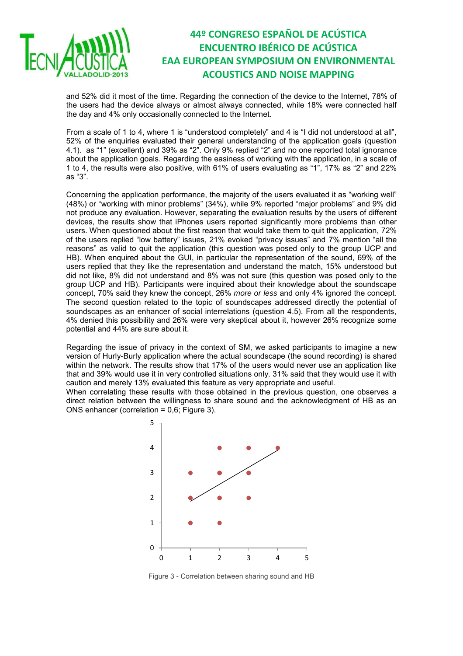

and 52% did it most of the time. Regarding the connection of the device to the Internet, 78% of the users had the device always or almost always connected, while 18% were connected half the day and 4% only occasionally connected to the Internet.

From a scale of 1 to 4, where 1 is "understood completely" and 4 is "I did not understood at all", 52% of the enquiries evaluated their general understanding of the application goals (question 4.1). as "1" (excellent) and 39% as "2". Only 9% replied "2" and no one reported total ignorance about the application goals. Regarding the easiness of working with the application, in a scale of 1 to 4, the results were also positive, with 61% of users evaluating as "1", 17% as "2" and 22% as "3".

Concerning the application performance, the majority of the users evaluated it as "working well" (48%) or "working with minor problems" (34%), while 9% reported "major problems" and 9% did not produce any evaluation. However, separating the evaluation results by the users of different devices, the results show that iPhones users reported significantly more problems than other users. When questioned about the first reason that would take them to quit the application, 72% of the users replied "low battery" issues, 21% evoked "privacy issues" and 7% mention "all the reasons" as valid to quit the application (this question was posed only to the group UCP and HB). When enquired about the GUI, in particular the representation of the sound, 69% of the users replied that they like the representation and understand the match, 15% understood but did not like, 8% did not understand and 8% was not sure (this question was posed only to the group UCP and HB). Participants were inquired about their knowledge about the soundscape concept, 70% said they knew the concept, 26% *more or less* and only 4% ignored the concept. The second question related to the topic of soundscapes addressed directly the potential of soundscapes as an enhancer of social interrelations (question 4.5). From all the respondents, 4% denied this possibility and 26% were very skeptical about it, however 26% recognize some potential and 44% are sure about it.

Regarding the issue of privacy in the context of SM, we asked participants to imagine a new version of Hurly-Burly application where the actual soundscape (the sound recording) is shared within the network. The results show that 17% of the users would never use an application like that and 39% would use it in very controlled situations only. 31% said that they would use it with caution and merely 13% evaluated this feature as very appropriate and useful.

When correlating these results with those obtained in the previous question, one observes a direct relation between the willingness to share sound and the acknowledgment of HB as an ONS enhancer (correlation = 0,6; [Figure 3\)](#page-6-0).



<span id="page-6-0"></span>Figure 3 - Correlation between sharing sound and HB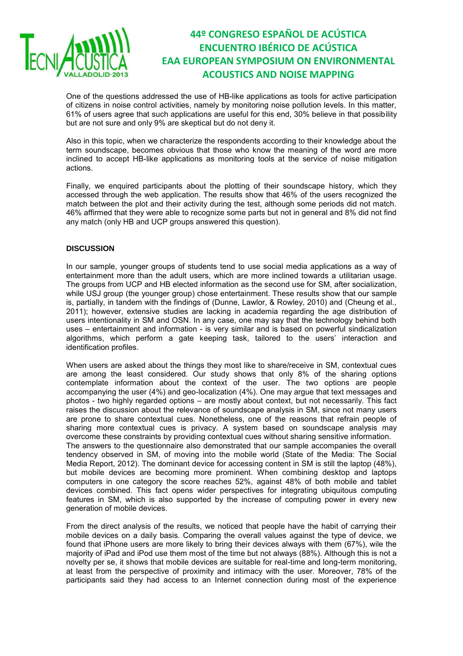

One of the questions addressed the use of HB-like applications as tools for active participation of citizens in noise control activities, namely by monitoring noise pollution levels. In this matter, 61% of users agree that such applications are useful for this end, 30% believe in that possibility but are not sure and only 9% are skeptical but do not deny it.

Also in this topic, when we characterize the respondents according to their knowledge about the term soundscape, becomes obvious that those who know the meaning of the word are more inclined to accept HB-like applications as monitoring tools at the service of noise mitigation actions.

Finally, we enquired participants about the plotting of their soundscape history, which they accessed through the web application. The results show that 46% of the users recognized the match between the plot and their activity during the test, although some periods did not match. 46% affirmed that they were able to recognize some parts but not in general and 8% did not find any match (only HB and UCP groups answered this question).

#### **DISCUSSION**

In our sample, younger groups of students tend to use social media applications as a way of entertainment more than the adult users, which are more inclined towards a utilitarian usage. The groups from UCP and HB elected information as the second use for SM, after socialization, while USJ group (the younger group) chose entertainment. These results show that our sample is, partially, in tandem with the findings of (Dunne, Lawlor, & Rowley, 2010) and (Cheung et al., 2011); however, extensive studies are lacking in academia regarding the age distribution of users intentionality in SM and OSN. In any case, one may say that the technology behind both uses – entertainment and information - is very similar and is based on powerful sindicalization algorithms, which perform a gate keeping task, tailored to the users' interaction and identification profiles.

When users are asked about the things they most like to share/receive in SM, contextual cues are among the least considered. Our study shows that only 8% of the sharing options contemplate information about the context of the user. The two options are people accompanying the user (4%) and geo-localization (4%). One may argue that text messages and photos - two highly regarded options – are mostly about context, but not necessarily. This fact raises the discussion about the relevance of soundscape analysis in SM, since not many users are prone to share contextual cues. Nonetheless, one of the reasons that refrain people of sharing more contextual cues is privacy. A system based on soundscape analysis may overcome these constraints by providing contextual cues without sharing sensitive information. The answers to the questionnaire also demonstrated that our sample accompanies the overall tendency observed in SM, of moving into the mobile world (State of the Media: The Social Media Report, 2012). The dominant device for accessing content in SM is still the laptop (48%), but mobile devices are becoming more prominent. When combining desktop and laptops computers in one category the score reaches 52%, against 48% of both mobile and tablet devices combined. This fact opens wider perspectives for integrating ubiquitous computing features in SM, which is also supported by the increase of computing power in every new generation of mobile devices.

From the direct analysis of the results, we noticed that people have the habit of carrying their mobile devices on a daily basis. Comparing the overall values against the type of device, we found that iPhone users are more likely to bring their devices always with them (67%), wile the majority of iPad and iPod use them most of the time but not always (88%). Although this is not a novelty per se, it shows that mobile devices are suitable for real-time and long-term monitoring, at least from the perspective of proximity and intimacy with the user. Moreover, 78% of the participants said they had access to an Internet connection during most of the experience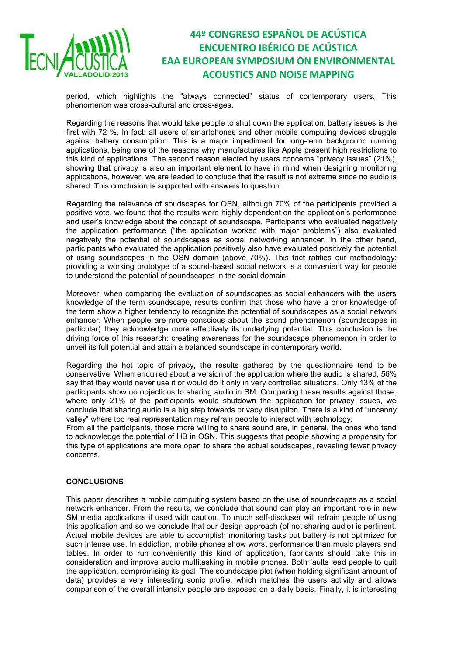

period, which highlights the "always connected" status of contemporary users. This phenomenon was cross-cultural and cross-ages.

Regarding the reasons that would take people to shut down the application, battery issues is the first with 72 %. In fact, all users of smartphones and other mobile computing devices struggle against battery consumption. This is a major impediment for long-term background running applications, being one of the reasons why manufactures like Apple present high restrictions to this kind of applications. The second reason elected by users concerns "privacy issues" (21%), showing that privacy is also an important element to have in mind when designing monitoring applications, however, we are leaded to conclude that the result is not extreme since no audio is shared. This conclusion is supported with answers to question.

Regarding the relevance of soudscapes for OSN, although 70% of the participants provided a positive vote, we found that the results were highly dependent on the application's performance and user's knowledge about the concept of soundscape. Participants who evaluated negatively the application performance ("the application worked with major problems") also evaluated negatively the potential of soundscapes as social networking enhancer. In the other hand, participants who evaluated the application positively also have evaluated positively the potential of using soundscapes in the OSN domain (above 70%). This fact ratifies our methodology: providing a working prototype of a sound-based social network is a convenient way for people to understand the potential of soundscapes in the social domain.

Moreover, when comparing the evaluation of soundscapes as social enhancers with the users knowledge of the term soundscape, results confirm that those who have a prior knowledge of the term show a higher tendency to recognize the potential of soundscapes as a social network enhancer. When people are more conscious about the sound phenomenon (soundscapes in particular) they acknowledge more effectively its underlying potential. This conclusion is the driving force of this research: creating awareness for the soundscape phenomenon in order to unveil its full potential and attain a balanced soundscape in contemporary world.

Regarding the hot topic of privacy, the results gathered by the questionnaire tend to be conservative. When enquired about a version of the application where the audio is shared, 56% say that they would never use it or would do it only in very controlled situations. Only 13% of the participants show no objections to sharing audio in SM. Comparing these results against those, where only 21% of the participants would shutdown the application for privacy issues, we conclude that sharing audio is a big step towards privacy disruption. There is a kind of "uncanny valley" where too real representation may refrain people to interact with technology.

From all the participants, those more willing to share sound are, in general, the ones who tend to acknowledge the potential of HB in OSN. This suggests that people showing a propensity for this type of applications are more open to share the actual soudscapes, revealing fewer privacy concerns.

### **CONCLUSIONS**

This paper describes a mobile computing system based on the use of soundscapes as a social network enhancer. From the results, we conclude that sound can play an important role in new SM media applications if used with caution. To much self-discloser will refrain people of using this application and so we conclude that our design approach (of not sharing audio) is pertinent. Actual mobile devices are able to accomplish monitoring tasks but battery is not optimized for such intense use. In addiction, mobile phones show worst performance than music players and tables. In order to run conveniently this kind of application, fabricants should take this in consideration and improve audio multitasking in mobile phones. Both faults lead people to quit the application, compromising its goal. The soundscape plot (when holding significant amount of data) provides a very interesting sonic profile, which matches the users activity and allows comparison of the overall intensity people are exposed on a daily basis. Finally, it is interesting